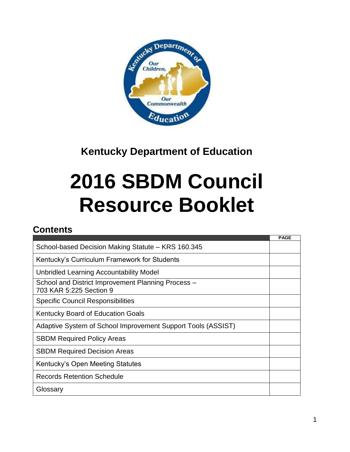

# **Kentucky Department of Education**

# **2016 SBDM Council Resource Booklet**

# **Contents**

|                                                                               | <b>PAGE</b> |
|-------------------------------------------------------------------------------|-------------|
| School-based Decision Making Statute - KRS 160.345                            |             |
| Kentucky's Curriculum Framework for Students                                  |             |
| Unbridled Learning Accountability Model                                       |             |
| School and District Improvement Planning Process -<br>703 KAR 5:225 Section 9 |             |
| <b>Specific Council Responsibilities</b>                                      |             |
| <b>Kentucky Board of Education Goals</b>                                      |             |
| Adaptive System of School Improvement Support Tools (ASSIST)                  |             |
| <b>SBDM Required Policy Areas</b>                                             |             |
| <b>SBDM Required Decision Areas</b>                                           |             |
| Kentucky's Open Meeting Statutes                                              |             |
| <b>Records Retention Schedule</b>                                             |             |
| Glossary                                                                      |             |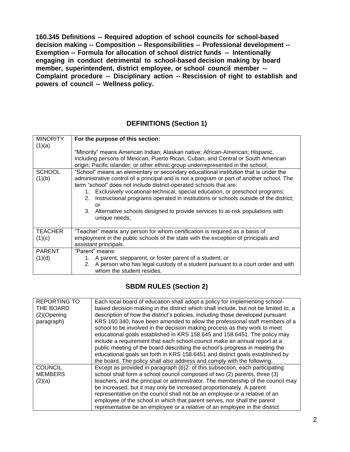**160.345 Definitions -- Required adoption of school councils for school-based decision making -- Composition -- Responsibilities -- Professional development -- Exemption -- Formula for allocation of school district funds -- Intentionally engaging in conduct detrimental to school-based decision making by board member, superintendent, district employee, or school council member -- Complaint procedure -- Disciplinary action -- Rescission of right to establish and powers of council -- Wellness policy.**

# **DEFINITIONS (Section 1)**

| <b>MINORITY</b><br>(1)(a) | For the purpose of this section:<br>"Minority" means American Indian; Alaskan native; African-American; Hispanic,<br>including persons of Mexican, Puerto Rican, Cuban, and Central or South American<br>origin; Pacific islander; or other ethnic group underrepresented in the school;                                                                                                                                                                                                                                                        |
|---------------------------|-------------------------------------------------------------------------------------------------------------------------------------------------------------------------------------------------------------------------------------------------------------------------------------------------------------------------------------------------------------------------------------------------------------------------------------------------------------------------------------------------------------------------------------------------|
| <b>SCHOOL</b><br>(1)(b)   | "School" means an elementary or secondary educational institution that is under the<br>administrative control of a principal and is not a program or part of another school. The<br>term "school" does not include district-operated schools that are:<br>1. Exclusively vocational-technical, special education, or preschool programs;<br>Instructional programs operated in institutions or schools outside of the district;<br>2.<br>or<br>3. Alternative schools designed to provide services to at-risk populations with<br>unique needs; |
| <b>TEACHER</b><br>(1)(c)  | "Teacher" means any person for whom certification is required as a basis of<br>employment in the public schools of the state with the exception of principals and<br>assistant principals.                                                                                                                                                                                                                                                                                                                                                      |
| <b>PARENT</b><br>(1)(d)   | "Parent" means:<br>1. A parent, stepparent, or foster parent of a student; or<br>2. A person who has legal custody of a student pursuant to a court order and with<br>whom the student resides.                                                                                                                                                                                                                                                                                                                                                 |

# **SBDM RULES (Section 2)**

| <b>REPORTING TO</b> | Each local board of education shall adopt a policy for implementing school-         |
|---------------------|-------------------------------------------------------------------------------------|
| THE BOARD           | based decision making in the district which shall include, but not be limited to, a |
| $(2)$ (Opening      | description of how the district's policies, including those developed pursuant      |
| paragraph)          | KRS 160.340, have been amended to allow the professional staff members of a         |
|                     | school to be involved in the decision making process as they work to meet           |
|                     | educational goals established in KRS 158.645 and 158.6451. The policy may           |
|                     | include a requirement that each school council make an annual report at a           |
|                     | public meeting of the board describing the school's progress in meeting the         |
|                     | educational goals set forth in KRS 158.6451 and district goals established by       |
|                     | the board. The policy shall also address and comply with the following:             |
| <b>COUNCIL</b>      | Except as provided in paragraph (b)2. of this subsection, each participating        |
| <b>MEMBERS</b>      | school shall form a school council composed of two (2) parents, three (3)           |
| (2)(a)              | teachers, and the principal or administrator. The membership of the council may     |
|                     | be increased, but it may only be increased proportionately. A parent                |
|                     | representative on the council shall not be an employee or a relative of an          |
|                     | employee of the school in which that parent serves, nor shall the parent            |
|                     | representative be an employee or a relative of an employee in the district          |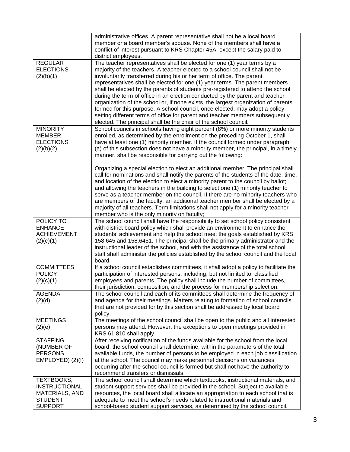|                                                                                                 | administrative offices. A parent representative shall not be a local board<br>member or a board member's spouse. None of the members shall have a<br>conflict of interest pursuant to KRS Chapter 45A, except the salary paid to<br>district employees.                                                                                                                                                                                                                                                                                                                                                                                                                                                                                                                                                        |
|-------------------------------------------------------------------------------------------------|----------------------------------------------------------------------------------------------------------------------------------------------------------------------------------------------------------------------------------------------------------------------------------------------------------------------------------------------------------------------------------------------------------------------------------------------------------------------------------------------------------------------------------------------------------------------------------------------------------------------------------------------------------------------------------------------------------------------------------------------------------------------------------------------------------------|
| <b>REGULAR</b><br><b>ELECTIONS</b><br>(2)(b)(1)                                                 | The teacher representatives shall be elected for one (1) year terms by a<br>majority of the teachers. A teacher elected to a school council shall not be<br>involuntarily transferred during his or her term of office. The parent<br>representatives shall be elected for one (1) year terms. The parent members<br>shall be elected by the parents of students pre-registered to attend the school<br>during the term of office in an election conducted by the parent and teacher<br>organization of the school or, if none exists, the largest organization of parents<br>formed for this purpose. A school council, once elected, may adopt a policy<br>setting different terms of office for parent and teacher members subsequently<br>elected. The principal shall be the chair of the school council. |
| <b>MINORITY</b><br><b>MEMBER</b><br><b>ELECTIONS</b><br>(2)(b)(2)                               | School councils in schools having eight percent (8%) or more minority students<br>enrolled, as determined by the enrollment on the preceding October 1, shall<br>have at least one (1) minority member. If the council formed under paragraph<br>(a) of this subsection does not have a minority member, the principal, in a timely<br>manner, shall be responsible for carrying out the following:                                                                                                                                                                                                                                                                                                                                                                                                            |
|                                                                                                 | Organizing a special election to elect an additional member. The principal shall<br>call for nominations and shall notify the parents of the students of the date, time,<br>and location of the election to elect a minority parent to the council by ballot;<br>and allowing the teachers in the building to select one (1) minority teacher to<br>serve as a teacher member on the council. If there are no minority teachers who<br>are members of the faculty, an additional teacher member shall be elected by a<br>majority of all teachers. Term limitations shall not apply for a minority teacher<br>member who is the only minority on faculty;                                                                                                                                                      |
| POLICY TO<br><b>ENHANCE</b><br><b>ACHIEVEMENT</b><br>(2)(c)(1)                                  | The school council shall have the responsibility to set school policy consistent<br>with district board policy which shall provide an environment to enhance the<br>students' achievement and help the school meet the goals established by KRS<br>158.645 and 158.6451. The principal shall be the primary administrator and the<br>instructional leader of the school, and with the assistance of the total school<br>staff shall administer the policies established by the school council and the local<br>board.                                                                                                                                                                                                                                                                                          |
| <b>COMMITTEES</b><br><b>POLICY</b><br>(2)(c)(1)                                                 | If a school council establishes committees, it shall adopt a policy to facilitate the<br>participation of interested persons, including, but not limited to, classified<br>employees and parents. The policy shall include the number of committees,<br>their jurisdiction, composition, and the process for membership selection.                                                                                                                                                                                                                                                                                                                                                                                                                                                                             |
| <b>AGENDA</b><br>(2)(d)                                                                         | The school council and each of its committees shall determine the frequency of<br>and agenda for their meetings. Matters relating to formation of school councils<br>that are not provided for by this section shall be addressed by local board<br>policy.                                                                                                                                                                                                                                                                                                                                                                                                                                                                                                                                                    |
| <b>MEETINGS</b><br>(2)(e)                                                                       | The meetings of the school council shall be open to the public and all interested<br>persons may attend. However, the exceptions to open meetings provided in<br>KRS 61.810 shall apply.                                                                                                                                                                                                                                                                                                                                                                                                                                                                                                                                                                                                                       |
| <b>STAFFING</b><br>(NUMBER OF<br><b>PERSONS</b><br>EMPLOYED) (2)(f)                             | After receiving notification of the funds available for the school from the local<br>board, the school council shall determine, within the parameters of the total<br>available funds, the number of persons to be employed in each job classification<br>at the school. The council may make personnel decisions on vacancies<br>occurring after the school council is formed but shall not have the authority to<br>recommend transfers or dismissals.                                                                                                                                                                                                                                                                                                                                                       |
| TEXTBOOKS,<br><b>INSTRUCTIONAL</b><br><b>MATERIALS, AND</b><br><b>STUDENT</b><br><b>SUPPORT</b> | The school council shall determine which textbooks, instructional materials, and<br>student support services shall be provided in the school. Subject to available<br>resources, the local board shall allocate an appropriation to each school that is<br>adequate to meet the school's needs related to instructional materials and<br>school-based student support services, as determined by the school council.                                                                                                                                                                                                                                                                                                                                                                                           |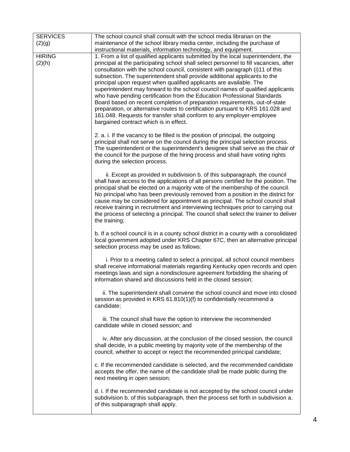| <b>SERVICES</b> | The school council shall consult with the school media librarian on the                                                                                            |
|-----------------|--------------------------------------------------------------------------------------------------------------------------------------------------------------------|
| (2)(g)          | maintenance of the school library media center, including the purchase of                                                                                          |
|                 | instructional materials, information technology, and equipment.                                                                                                    |
| <b>HIRING</b>   | 1. From a list of qualified applicants submitted by the local superintendent, the                                                                                  |
| (2)(h)          | principal at the participating school shall select personnel to fill vacancies, after                                                                              |
|                 | consultation with the school council, consistent with paragraph (i)11 of this                                                                                      |
|                 | subsection. The superintendent shall provide additional applicants to the                                                                                          |
|                 | principal upon request when qualified applicants are available. The                                                                                                |
|                 | superintendent may forward to the school council names of qualified applicants                                                                                     |
|                 | who have pending certification from the Education Professional Standards                                                                                           |
|                 | Board based on recent completion of preparation requirements, out-of-state                                                                                         |
|                 | preparation, or alternative routes to certification pursuant to KRS 161.028 and                                                                                    |
|                 | 161.048. Requests for transfer shall conform to any employer-employee                                                                                              |
|                 | bargained contract which is in effect.                                                                                                                             |
|                 |                                                                                                                                                                    |
|                 | 2. a. i. If the vacancy to be filled is the position of principal, the outgoing                                                                                    |
|                 | principal shall not serve on the council during the principal selection process.                                                                                   |
|                 | The superintendent or the superintendent's designee shall serve as the chair of                                                                                    |
|                 | the council for the purpose of the hiring process and shall have voting rights                                                                                     |
|                 | during the selection process.                                                                                                                                      |
|                 |                                                                                                                                                                    |
|                 | ii. Except as provided in subdivision b. of this subparagraph, the council<br>shall have access to the applications of all persons certified for the position. The |
|                 | principal shall be elected on a majority vote of the membership of the council.                                                                                    |
|                 | No principal who has been previously removed from a position in the district for                                                                                   |
|                 | cause may be considered for appointment as principal. The school council shall                                                                                     |
|                 | receive training in recruitment and interviewing techniques prior to carrying out                                                                                  |
|                 | the process of selecting a principal. The council shall select the trainer to deliver                                                                              |
|                 | the training;                                                                                                                                                      |
|                 |                                                                                                                                                                    |
|                 | b. If a school council is in a county school district in a county with a consolidated                                                                              |
|                 | local government adopted under KRS Chapter 67C, then an alternative principal                                                                                      |
|                 | selection process may be used as follows:                                                                                                                          |
|                 |                                                                                                                                                                    |
|                 | i. Prior to a meeting called to select a principal, all school council members                                                                                     |
|                 | shall receive informational materials regarding Kentucky open records and open                                                                                     |
|                 | meetings laws and sign a nondisclosure agreement forbidding the sharing of                                                                                         |
|                 | information shared and discussions held in the closed session;                                                                                                     |
|                 | ii. The superintendent shall convene the school council and move into closed                                                                                       |
|                 | session as provided in KRS 61.810(1)(f) to confidentially recommend a                                                                                              |
|                 | candidate;                                                                                                                                                         |
|                 |                                                                                                                                                                    |
|                 | iii. The council shall have the option to interview the recommended                                                                                                |
|                 | candidate while in closed session; and                                                                                                                             |
|                 |                                                                                                                                                                    |
|                 | iv. After any discussion, at the conclusion of the closed session, the council                                                                                     |
|                 | shall decide, in a public meeting by majority vote of the membership of the                                                                                        |
|                 | council, whether to accept or reject the recommended principal candidate;                                                                                          |
|                 | c. If the recommended candidate is selected, and the recommended candidate                                                                                         |
|                 | accepts the offer, the name of the candidate shall be made public during the                                                                                       |
|                 | next meeting in open session;                                                                                                                                      |
|                 |                                                                                                                                                                    |
|                 | d. i. If the recommended candidate is not accepted by the school council under                                                                                     |
|                 | subdivision b. of this subparagraph, then the process set forth in subdivision a.                                                                                  |
|                 | of this subparagraph shall apply.                                                                                                                                  |
|                 |                                                                                                                                                                    |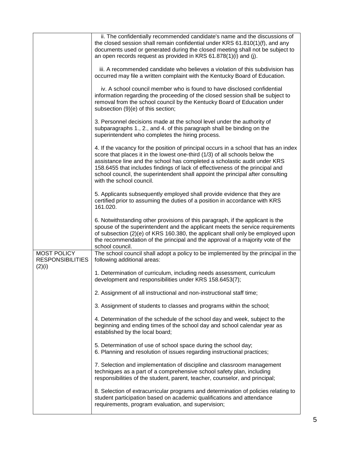|                                                  | ii. The confidentially recommended candidate's name and the discussions of<br>the closed session shall remain confidential under KRS 61.810(1)(f), and any<br>documents used or generated during the closed meeting shall not be subject to<br>an open records request as provided in KRS 61.878(1)(i) and (j).                                                                                                                                  |
|--------------------------------------------------|--------------------------------------------------------------------------------------------------------------------------------------------------------------------------------------------------------------------------------------------------------------------------------------------------------------------------------------------------------------------------------------------------------------------------------------------------|
|                                                  | iii. A recommended candidate who believes a violation of this subdivision has<br>occurred may file a written complaint with the Kentucky Board of Education.                                                                                                                                                                                                                                                                                     |
|                                                  | iv. A school council member who is found to have disclosed confidential<br>information regarding the proceeding of the closed session shall be subject to<br>removal from the school council by the Kentucky Board of Education under<br>subsection (9)(e) of this section;                                                                                                                                                                      |
|                                                  | 3. Personnel decisions made at the school level under the authority of<br>subparagraphs 1., 2., and 4. of this paragraph shall be binding on the<br>superintendent who completes the hiring process.                                                                                                                                                                                                                                             |
|                                                  | 4. If the vacancy for the position of principal occurs in a school that has an index<br>score that places it in the lowest one-third (1/3) of all schools below the<br>assistance line and the school has completed a scholastic audit under KRS<br>158.6455 that includes findings of lack of effectiveness of the principal and<br>school council, the superintendent shall appoint the principal after consulting<br>with the school council. |
|                                                  | 5. Applicants subsequently employed shall provide evidence that they are<br>certified prior to assuming the duties of a position in accordance with KRS<br>161.020.                                                                                                                                                                                                                                                                              |
|                                                  | 6. Notwithstanding other provisions of this paragraph, if the applicant is the<br>spouse of the superintendent and the applicant meets the service requirements<br>of subsection (2)(e) of KRS 160.380, the applicant shall only be employed upon<br>the recommendation of the principal and the approval of a majority vote of the<br>school council.                                                                                           |
| MOST POLICY<br><b>RESPONSIBILITIES</b><br>(2)(i) | The school council shall adopt a policy to be implemented by the principal in the<br>following additional areas:                                                                                                                                                                                                                                                                                                                                 |
|                                                  | 1. Determination of curriculum, including needs assessment, curriculum<br>development and responsibilities under KRS 158.6453(7);                                                                                                                                                                                                                                                                                                                |
|                                                  | 2. Assignment of all instructional and non-instructional staff time;                                                                                                                                                                                                                                                                                                                                                                             |
|                                                  | 3. Assignment of students to classes and programs within the school;                                                                                                                                                                                                                                                                                                                                                                             |
|                                                  | 4. Determination of the schedule of the school day and week, subject to the<br>beginning and ending times of the school day and school calendar year as<br>established by the local board;                                                                                                                                                                                                                                                       |
|                                                  | 5. Determination of use of school space during the school day;<br>6. Planning and resolution of issues regarding instructional practices;                                                                                                                                                                                                                                                                                                        |
|                                                  | 7. Selection and implementation of discipline and classroom management<br>techniques as a part of a comprehensive school safety plan, including<br>responsibilities of the student, parent, teacher, counselor, and principal;                                                                                                                                                                                                                   |
|                                                  | 8. Selection of extracurricular programs and determination of policies relating to<br>student participation based on academic qualifications and attendance<br>requirements, program evaluation, and supervision;                                                                                                                                                                                                                                |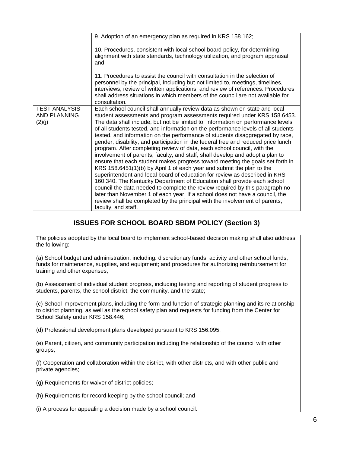|                                                       | 9. Adoption of an emergency plan as required in KRS 158.162;                                                                                                                                                                                                                                                                                                                                                                                                                                                                                                                                                                                                                                                                                                                                                                                                                                                                                                                                                                                                                                                                                                                                                                                               |
|-------------------------------------------------------|------------------------------------------------------------------------------------------------------------------------------------------------------------------------------------------------------------------------------------------------------------------------------------------------------------------------------------------------------------------------------------------------------------------------------------------------------------------------------------------------------------------------------------------------------------------------------------------------------------------------------------------------------------------------------------------------------------------------------------------------------------------------------------------------------------------------------------------------------------------------------------------------------------------------------------------------------------------------------------------------------------------------------------------------------------------------------------------------------------------------------------------------------------------------------------------------------------------------------------------------------------|
|                                                       | 10. Procedures, consistent with local school board policy, for determining<br>alignment with state standards, technology utilization, and program appraisal;<br>and                                                                                                                                                                                                                                                                                                                                                                                                                                                                                                                                                                                                                                                                                                                                                                                                                                                                                                                                                                                                                                                                                        |
|                                                       | 11. Procedures to assist the council with consultation in the selection of<br>personnel by the principal, including but not limited to, meetings, timelines,<br>interviews, review of written applications, and review of references. Procedures<br>shall address situations in which members of the council are not available for<br>consultation.                                                                                                                                                                                                                                                                                                                                                                                                                                                                                                                                                                                                                                                                                                                                                                                                                                                                                                        |
| <b>TEST ANALYSIS</b><br><b>AND PLANNING</b><br>(2)(j) | Each school council shall annually review data as shown on state and local<br>student assessments and program assessments required under KRS 158.6453.<br>The data shall include, but not be limited to, information on performance levels<br>of all students tested, and information on the performance levels of all students<br>tested, and information on the performance of students disaggregated by race,<br>gender, disability, and participation in the federal free and reduced price lunch<br>program. After completing review of data, each school council, with the<br>involvement of parents, faculty, and staff, shall develop and adopt a plan to<br>ensure that each student makes progress toward meeting the goals set forth in<br>KRS 158.6451(1)(b) by April 1 of each year and submit the plan to the<br>superintendent and local board of education for review as described in KRS<br>160.340. The Kentucky Department of Education shall provide each school<br>council the data needed to complete the review required by this paragraph no<br>later than November 1 of each year. If a school does not have a council, the<br>review shall be completed by the principal with the involvement of parents,<br>faculty, and staff. |

#### **ISSUES FOR SCHOOL BOARD SBDM POLICY (Section 3)**

The policies adopted by the local board to implement school-based decision making shall also address the following:

(a) School budget and administration, including: discretionary funds; activity and other school funds; funds for maintenance, supplies, and equipment; and procedures for authorizing reimbursement for training and other expenses;

(b) Assessment of individual student progress, including testing and reporting of student progress to students, parents, the school district, the community, and the state;

(c) School improvement plans, including the form and function of strategic planning and its relationship to district planning, as well as the school safety plan and requests for funding from the Center for School Safety under KRS 158.446;

(d) Professional development plans developed pursuant to KRS 156.095;

(e) Parent, citizen, and community participation including the relationship of the council with other groups;

(f) Cooperation and collaboration within the district, with other districts, and with other public and private agencies;

(g) Requirements for waiver of district policies;

(h) Requirements for record keeping by the school council; and

(i) A process for appealing a decision made by a school council.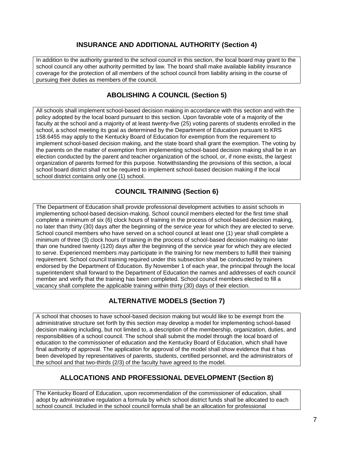## **INSURANCE AND ADDITIONAL AUTHORITY (Section 4)**

In addition to the authority granted to the school council in this section, the local board may grant to the school council any other authority permitted by law. The board shall make available liability insurance coverage for the protection of all members of the school council from liability arising in the course of pursuing their duties as members of the council.

## **ABOLISHING A COUNCIL (Section 5)**

All schools shall implement school-based decision making in accordance with this section and with the policy adopted by the local board pursuant to this section. Upon favorable vote of a majority of the faculty at the school and a majority of at least twenty-five (25) voting parents of students enrolled in the school, a school meeting its goal as determined by the Department of Education pursuant to KRS 158.6455 may apply to the Kentucky Board of Education for exemption from the requirement to implement school-based decision making, and the state board shall grant the exemption. The voting by the parents on the matter of exemption from implementing school-based decision making shall be in an election conducted by the parent and teacher organization of the school, or, if none exists, the largest organization of parents formed for this purpose. Notwithstanding the provisions of this section, a local school board district shall not be required to implement school-based decision making if the local school district contains only one (1) school.

#### **COUNCIL TRAINING (Section 6)**

The Department of Education shall provide professional development activities to assist schools in implementing school-based decision-making. School council members elected for the first time shall complete a minimum of six (6) clock hours of training in the process of school-based decision making, no later than thirty (30) days after the beginning of the service year for which they are elected to serve. School council members who have served on a school council at least one (1) year shall complete a minimum of three (3) clock hours of training in the process of school-based decision making no later than one hundred twenty (120) days after the beginning of the service year for which they are elected to serve. Experienced members may participate in the training for new members to fulfill their training requirement. School council training required under this subsection shall be conducted by trainers endorsed by the Department of Education. By November 1 of each year, the principal through the local superintendent shall forward to the Department of Education the names and addresses of each council member and verify that the training has been completed. School council members elected to fill a vacancy shall complete the applicable training within thirty (30) days of their election.

# **ALTERNATIVE MODELS (Section 7)**

A school that chooses to have school-based decision making but would like to be exempt from the administrative structure set forth by this section may develop a model for implementing school-based decision making including, but not limited to, a description of the membership, organization, duties, and responsibilities of a school council. The school shall submit the model through the local board of education to the commissioner of education and the Kentucky Board of Education, which shall have final authority of approval. The application for approval of the model shall show evidence that it has been developed by representatives of parents, students, certified personnel, and the administrators of the school and that two-thirds (2/3) of the faculty have agreed to the model.

# **ALLOCATIONS AND PROFESSIONAL DEVELOPMENT (Section 8)**

The Kentucky Board of Education, upon recommendation of the commissioner of education, shall adopt by administrative regulation a formula by which school district funds shall be allocated to each school council. Included in the school council formula shall be an allocation for professional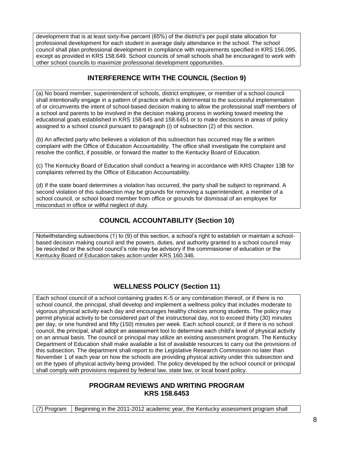development that is at least sixty-five percent (65%) of the district's per pupil state allocation for professional development for each student in average daily attendance in the school. The school council shall plan professional development in compliance with requirements specified in KRS 156.095, except as provided in KRS 158.649. School councils of small schools shall be encouraged to work with other school councils to maximize professional development opportunities.

## **INTERFERENCE WITH THE COUNCIL (Section 9)**

(a) No board member, superintendent of schools, district employee, or member of a school council shall intentionally engage in a pattern of practice which is detrimental to the successful implementation of or circumvents the intent of school-based decision making to allow the professional staff members of a school and parents to be involved in the decision making process in working toward meeting the educational goals established in KRS 158.645 and 158.6451 or to make decisions in areas of policy assigned to a school council pursuant to paragraph (i) of subsection (2) of this section.

(b) An affected party who believes a violation of this subsection has occurred may file a written complaint with the Office of Education Accountability. The office shall investigate the complaint and resolve the conflict, if possible, or forward the matter to the Kentucky Board of Education.

(c) The Kentucky Board of Education shall conduct a hearing in accordance with KRS Chapter 13B for complaints referred by the Office of Education Accountability.

(d) If the state board determines a violation has occurred, the party shall be subject to reprimand. A second violation of this subsection may be grounds for removing a superintendent, a member of a school council, or school board member from office or grounds for dismissal of an employee for misconduct in office or willful neglect of duty.

# **COUNCIL ACCOUNTABILITY (Section 10)**

Notwithstanding subsections (1) to (9) of this section, a school's right to establish or maintain a schoolbased decision making council and the powers, duties, and authority granted to a school council may be rescinded or the school council's role may be advisory if the commissioner of education or the Kentucky Board of Education takes action under KRS 160.346.

# **WELLNESS POLICY (Section 11)**

Each school council of a school containing grades K-5 or any combination thereof, or if there is no school council, the principal, shall develop and implement a wellness policy that includes moderate to vigorous physical activity each day and encourages healthy choices among students. The policy may permit physical activity to be considered part of the instructional day, not to exceed thirty (30) minutes per day, or one hundred and fifty (150) minutes per week. Each school council, or if there is no school council, the principal, shall adopt an assessment tool to determine each child's level of physical activity on an annual basis. The council or principal may utilize an existing assessment program. The Kentucky Department of Education shall make available a list of available resources to carry out the provisions of this subsection. The department shall report to the Legislative Research Commission no later than November 1 of each year on how the schools are providing physical activity under this subsection and on the types of physical activity being provided. The policy developed by the school council or principal shall comply with provisions required by federal law, state law, or local board policy.

#### **PROGRAM REVIEWS AND WRITING PROGRAM KRS 158.6453**

(7) Program | Beginning in the 2011-2012 academic year, the Kentucky assessment program shall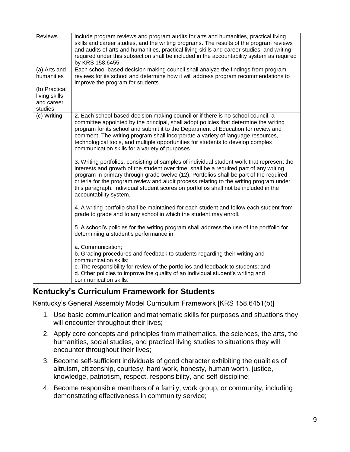| skills and career studies, and the writing programs. The results of the program reviews<br>and audits of arts and humanities, practical living skills and career studies, and writing<br>required under this subsection shall be included in the accountability system as required<br>by KRS 158.6455.<br>(a) Arts and<br>Each school-based decision making council shall analyze the findings from program<br>humanities<br>reviews for its school and determine how it will address program recommendations to<br>improve the program for students.<br>(b) Practical<br>living skills<br>and career<br>studies<br>(c) Writing<br>2. Each school-based decision making council or if there is no school council, a<br>committee appointed by the principal, shall adopt policies that determine the writing<br>program for its school and submit it to the Department of Education for review and<br>comment. The writing program shall incorporate a variety of language resources,<br>technological tools, and multiple opportunities for students to develop complex<br>communication skills for a variety of purposes.<br>3. Writing portfolios, consisting of samples of individual student work that represent the<br>interests and growth of the student over time, shall be a required part of any writing<br>program in primary through grade twelve (12). Portfolios shall be part of the required<br>criteria for the program review and audit process relating to the writing program under<br>this paragraph. Individual student scores on portfolios shall not be included in the<br>accountability system.<br>4. A writing portfolio shall be maintained for each student and follow each student from<br>grade to grade and to any school in which the student may enroll.<br>5. A school's policies for the writing program shall address the use of the portfolio for<br>determining a student's performance in:<br>a. Communication;<br>b. Grading procedures and feedback to students regarding their writing and<br>communication skills:<br>c. The responsibility for review of the portfolios and feedback to students; and<br>d. Other policies to improve the quality of an individual student's writing and<br>communication skills. |                |                                                                                      |
|-----------------------------------------------------------------------------------------------------------------------------------------------------------------------------------------------------------------------------------------------------------------------------------------------------------------------------------------------------------------------------------------------------------------------------------------------------------------------------------------------------------------------------------------------------------------------------------------------------------------------------------------------------------------------------------------------------------------------------------------------------------------------------------------------------------------------------------------------------------------------------------------------------------------------------------------------------------------------------------------------------------------------------------------------------------------------------------------------------------------------------------------------------------------------------------------------------------------------------------------------------------------------------------------------------------------------------------------------------------------------------------------------------------------------------------------------------------------------------------------------------------------------------------------------------------------------------------------------------------------------------------------------------------------------------------------------------------------------------------------------------------------------------------------------------------------------------------------------------------------------------------------------------------------------------------------------------------------------------------------------------------------------------------------------------------------------------------------------------------------------------------------------------------------------------------------------------------------------------------------------------------------|----------------|--------------------------------------------------------------------------------------|
|                                                                                                                                                                                                                                                                                                                                                                                                                                                                                                                                                                                                                                                                                                                                                                                                                                                                                                                                                                                                                                                                                                                                                                                                                                                                                                                                                                                                                                                                                                                                                                                                                                                                                                                                                                                                                                                                                                                                                                                                                                                                                                                                                                                                                                                                 | <b>Reviews</b> | include program reviews and program audits for arts and humanities, practical living |
|                                                                                                                                                                                                                                                                                                                                                                                                                                                                                                                                                                                                                                                                                                                                                                                                                                                                                                                                                                                                                                                                                                                                                                                                                                                                                                                                                                                                                                                                                                                                                                                                                                                                                                                                                                                                                                                                                                                                                                                                                                                                                                                                                                                                                                                                 |                |                                                                                      |
|                                                                                                                                                                                                                                                                                                                                                                                                                                                                                                                                                                                                                                                                                                                                                                                                                                                                                                                                                                                                                                                                                                                                                                                                                                                                                                                                                                                                                                                                                                                                                                                                                                                                                                                                                                                                                                                                                                                                                                                                                                                                                                                                                                                                                                                                 |                |                                                                                      |
|                                                                                                                                                                                                                                                                                                                                                                                                                                                                                                                                                                                                                                                                                                                                                                                                                                                                                                                                                                                                                                                                                                                                                                                                                                                                                                                                                                                                                                                                                                                                                                                                                                                                                                                                                                                                                                                                                                                                                                                                                                                                                                                                                                                                                                                                 |                |                                                                                      |
|                                                                                                                                                                                                                                                                                                                                                                                                                                                                                                                                                                                                                                                                                                                                                                                                                                                                                                                                                                                                                                                                                                                                                                                                                                                                                                                                                                                                                                                                                                                                                                                                                                                                                                                                                                                                                                                                                                                                                                                                                                                                                                                                                                                                                                                                 |                |                                                                                      |
|                                                                                                                                                                                                                                                                                                                                                                                                                                                                                                                                                                                                                                                                                                                                                                                                                                                                                                                                                                                                                                                                                                                                                                                                                                                                                                                                                                                                                                                                                                                                                                                                                                                                                                                                                                                                                                                                                                                                                                                                                                                                                                                                                                                                                                                                 |                |                                                                                      |
|                                                                                                                                                                                                                                                                                                                                                                                                                                                                                                                                                                                                                                                                                                                                                                                                                                                                                                                                                                                                                                                                                                                                                                                                                                                                                                                                                                                                                                                                                                                                                                                                                                                                                                                                                                                                                                                                                                                                                                                                                                                                                                                                                                                                                                                                 |                |                                                                                      |
|                                                                                                                                                                                                                                                                                                                                                                                                                                                                                                                                                                                                                                                                                                                                                                                                                                                                                                                                                                                                                                                                                                                                                                                                                                                                                                                                                                                                                                                                                                                                                                                                                                                                                                                                                                                                                                                                                                                                                                                                                                                                                                                                                                                                                                                                 |                |                                                                                      |
|                                                                                                                                                                                                                                                                                                                                                                                                                                                                                                                                                                                                                                                                                                                                                                                                                                                                                                                                                                                                                                                                                                                                                                                                                                                                                                                                                                                                                                                                                                                                                                                                                                                                                                                                                                                                                                                                                                                                                                                                                                                                                                                                                                                                                                                                 |                |                                                                                      |
|                                                                                                                                                                                                                                                                                                                                                                                                                                                                                                                                                                                                                                                                                                                                                                                                                                                                                                                                                                                                                                                                                                                                                                                                                                                                                                                                                                                                                                                                                                                                                                                                                                                                                                                                                                                                                                                                                                                                                                                                                                                                                                                                                                                                                                                                 |                |                                                                                      |
|                                                                                                                                                                                                                                                                                                                                                                                                                                                                                                                                                                                                                                                                                                                                                                                                                                                                                                                                                                                                                                                                                                                                                                                                                                                                                                                                                                                                                                                                                                                                                                                                                                                                                                                                                                                                                                                                                                                                                                                                                                                                                                                                                                                                                                                                 |                |                                                                                      |
|                                                                                                                                                                                                                                                                                                                                                                                                                                                                                                                                                                                                                                                                                                                                                                                                                                                                                                                                                                                                                                                                                                                                                                                                                                                                                                                                                                                                                                                                                                                                                                                                                                                                                                                                                                                                                                                                                                                                                                                                                                                                                                                                                                                                                                                                 |                |                                                                                      |
|                                                                                                                                                                                                                                                                                                                                                                                                                                                                                                                                                                                                                                                                                                                                                                                                                                                                                                                                                                                                                                                                                                                                                                                                                                                                                                                                                                                                                                                                                                                                                                                                                                                                                                                                                                                                                                                                                                                                                                                                                                                                                                                                                                                                                                                                 |                |                                                                                      |
|                                                                                                                                                                                                                                                                                                                                                                                                                                                                                                                                                                                                                                                                                                                                                                                                                                                                                                                                                                                                                                                                                                                                                                                                                                                                                                                                                                                                                                                                                                                                                                                                                                                                                                                                                                                                                                                                                                                                                                                                                                                                                                                                                                                                                                                                 |                |                                                                                      |
|                                                                                                                                                                                                                                                                                                                                                                                                                                                                                                                                                                                                                                                                                                                                                                                                                                                                                                                                                                                                                                                                                                                                                                                                                                                                                                                                                                                                                                                                                                                                                                                                                                                                                                                                                                                                                                                                                                                                                                                                                                                                                                                                                                                                                                                                 |                |                                                                                      |
|                                                                                                                                                                                                                                                                                                                                                                                                                                                                                                                                                                                                                                                                                                                                                                                                                                                                                                                                                                                                                                                                                                                                                                                                                                                                                                                                                                                                                                                                                                                                                                                                                                                                                                                                                                                                                                                                                                                                                                                                                                                                                                                                                                                                                                                                 |                |                                                                                      |

# **Kentucky's Curriculum Framework for Students**

Kentucky's General Assembly Model Curriculum Framework [KRS 158.6451(b)]

- 1. Use basic communication and mathematic skills for purposes and situations they will encounter throughout their lives;
- 2. Apply core concepts and principles from mathematics, the sciences, the arts, the humanities, social studies, and practical living studies to situations they will encounter throughout their lives;
- 3. Become self-sufficient individuals of good character exhibiting the qualities of altruism, citizenship, courtesy, hard work, honesty, human worth, justice, knowledge, patriotism, respect, responsibility, and self-discipline;
- 4. Become responsible members of a family, work group, or community, including demonstrating effectiveness in community service;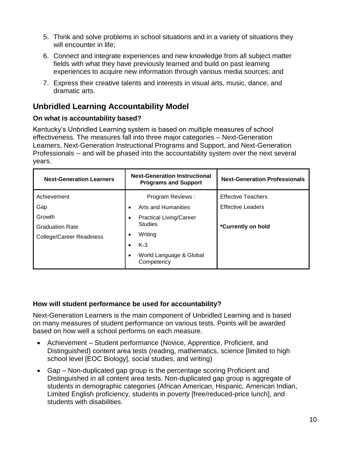- 5. Think and solve problems in school situations and in a variety of situations they will encounter in life;
- 6. Connect and integrate experiences and new knowledge from all subject matter fields with what they have previously learned and build on past learning experiences to acquire new information through various media sources; and
- 7. Express their creative talents and interests in visual arts, music, dance, and dramatic arts.

# **Unbridled Learning Accountability Model**

#### **On what is accountability based?**

Kentucky's Unbridled Learning system is based on multiple measures of school effectiveness. The measures fall into three major categories – Next-Generation Learners, Next-Generation Instructional Programs and Support, and Next-Generation Professionals -- and will be phased into the accountability system over the next several years.

| <b>Next-Generation Learners</b> | <b>Next-Generation Instructional</b><br><b>Programs and Support</b> | <b>Next-Generation Professionals</b> |
|---------------------------------|---------------------------------------------------------------------|--------------------------------------|
| Achievement                     | Program Reviews:                                                    | <b>Effective Teachers</b>            |
| Gap                             | Arts and Humanities<br>$\bullet$                                    | <b>Effective Leaders</b>             |
| Growth                          | <b>Practical Living/Career</b>                                      |                                      |
| <b>Graduation Rate</b>          | <b>Studies</b>                                                      | *Currently on hold                   |
| <b>College/Career Readiness</b> | Writing                                                             |                                      |
|                                 | $K-3$                                                               |                                      |
|                                 | World Language & Global<br>٠<br>Competency                          |                                      |

#### **How will student performance be used for accountability?**

Next-Generation Learners is the main component of Unbridled Learning and is based on many measures of student performance on various tests. Points will be awarded based on how well a school performs on each measure.

- Achievement Student performance (Novice, Apprentice, Proficient, and Distinguished) content area tests (reading, mathematics, science [limited to high school level [EOC Biology], social studies, and writing)
- Gap Non-duplicated gap group is the percentage scoring Proficient and Distinguished in all content area tests. Non-duplicated gap group is aggregate of students in demographic categories (African American, Hispanic, American Indian, Limited English proficiency, students in poverty [free/reduced-price lunch], and students with disabilities.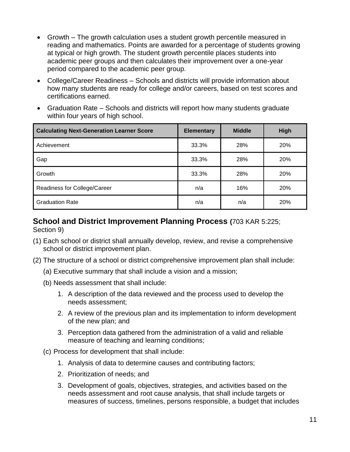- Growth The growth calculation uses a student growth percentile measured in reading and mathematics. Points are awarded for a percentage of students growing at typical or high growth. The student growth percentile places students into academic peer groups and then calculates their improvement over a one-year period compared to the academic peer group.
- College/Career Readiness Schools and districts will provide information about how many students are ready for college and/or careers, based on test scores and certifications earned.
- Graduation Rate Schools and districts will report how many students graduate within four years of high school.

| <b>Calculating Next-Generation Learner Score</b> | <b>Elementary</b> | <b>Middle</b> | High       |
|--------------------------------------------------|-------------------|---------------|------------|
| Achievement                                      | 33.3%             | 28%           | <b>20%</b> |
| Gap                                              | 33.3%             | 28%           | 20%        |
| Growth                                           | 33.3%             | 28%           | 20%        |
| Readiness for College/Career                     | n/a               | 16%           | <b>20%</b> |
| <b>Graduation Rate</b>                           | n/a               | n/a           | 20%        |

#### **School and District Improvement Planning Process (**703 KAR 5:225; Section 9)

- (1) Each school or district shall annually develop, review, and revise a comprehensive school or district improvement plan.
- (2) The structure of a school or district comprehensive improvement plan shall include:
	- (a) Executive summary that shall include a vision and a mission;
	- (b) Needs assessment that shall include:
		- 1. A description of the data reviewed and the process used to develop the needs assessment;
		- 2. A review of the previous plan and its implementation to inform development of the new plan; and
		- 3. Perception data gathered from the administration of a valid and reliable measure of teaching and learning conditions;
	- (c) Process for development that shall include:
		- 1. Analysis of data to determine causes and contributing factors;
		- 2. Prioritization of needs; and
		- 3. Development of goals, objectives, strategies, and activities based on the needs assessment and root cause analysis, that shall include targets or measures of success, timelines, persons responsible, a budget that includes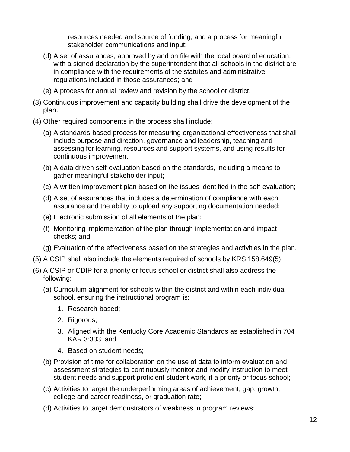resources needed and source of funding, and a process for meaningful stakeholder communications and input;

- (d) A set of assurances, approved by and on file with the local board of education, with a signed declaration by the superintendent that all schools in the district are in compliance with the requirements of the statutes and administrative regulations included in those assurances; and
- (e) A process for annual review and revision by the school or district.
- (3) Continuous improvement and capacity building shall drive the development of the plan.
- (4) Other required components in the process shall include:
	- (a) A standards-based process for measuring organizational effectiveness that shall include purpose and direction, governance and leadership, teaching and assessing for learning, resources and support systems, and using results for continuous improvement;
	- (b) A data driven self-evaluation based on the standards, including a means to gather meaningful stakeholder input;
	- (c) A written improvement plan based on the issues identified in the self-evaluation;
	- (d) A set of assurances that includes a determination of compliance with each assurance and the ability to upload any supporting documentation needed;
	- (e) Electronic submission of all elements of the plan;
	- (f) Monitoring implementation of the plan through implementation and impact checks; and
	- (g) Evaluation of the effectiveness based on the strategies and activities in the plan.
- (5) A CSIP shall also include the elements required of schools by KRS 158.649(5).
- (6) A CSIP or CDIP for a priority or focus school or district shall also address the following:
	- (a) Curriculum alignment for schools within the district and within each individual school, ensuring the instructional program is:
		- 1. Research-based;
		- 2. Rigorous;
		- 3. Aligned with the Kentucky Core Academic Standards as established in 704 KAR 3:303; and
		- 4. Based on student needs;
	- (b) Provision of time for collaboration on the use of data to inform evaluation and assessment strategies to continuously monitor and modify instruction to meet student needs and support proficient student work, if a priority or focus school;
	- (c) Activities to target the underperforming areas of achievement, gap, growth, college and career readiness, or graduation rate;
	- (d) Activities to target demonstrators of weakness in program reviews;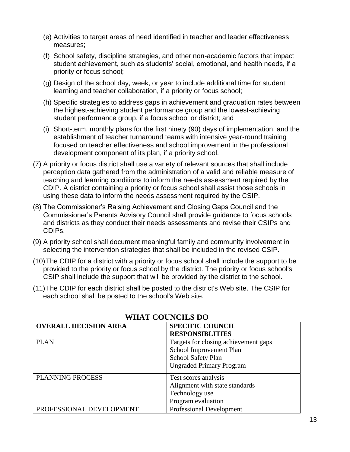- (e) Activities to target areas of need identified in teacher and leader effectiveness measures;
- (f) School safety, discipline strategies, and other non-academic factors that impact student achievement, such as students' social, emotional, and health needs, if a priority or focus school;
- (g) Design of the school day, week, or year to include additional time for student learning and teacher collaboration, if a priority or focus school;
- (h) Specific strategies to address gaps in achievement and graduation rates between the highest-achieving student performance group and the lowest-achieving student performance group, if a focus school or district; and
- (i) Short-term, monthly plans for the first ninety (90) days of implementation, and the establishment of teacher turnaround teams with intensive year-round training focused on teacher effectiveness and school improvement in the professional development component of its plan, if a priority school.
- (7) A priority or focus district shall use a variety of relevant sources that shall include perception data gathered from the administration of a valid and reliable measure of teaching and learning conditions to inform the needs assessment required by the CDIP. A district containing a priority or focus school shall assist those schools in using these data to inform the needs assessment required by the CSIP.
- (8) The Commissioner's Raising Achievement and Closing Gaps Council and the Commissioner's Parents Advisory Council shall provide guidance to focus schools and districts as they conduct their needs assessments and revise their CSIPs and CDIPs.
- (9) A priority school shall document meaningful family and community involvement in selecting the intervention strategies that shall be included in the revised CSIP.
- (10)The CDIP for a district with a priority or focus school shall include the support to be provided to the priority or focus school by the district. The priority or focus school's CSIP shall include the support that will be provided by the district to the school.
- (11)The CDIP for each district shall be posted to the district's Web site. The CSIP for each school shall be posted to the school's Web site.

| <b>OVERALL DECISION AREA</b> | <b>SPECIFIC COUNCIL</b>              |
|------------------------------|--------------------------------------|
|                              | <b>RESPONSIBLITIES</b>               |
| <b>PLAN</b>                  | Targets for closing achievement gaps |
|                              | School Improvement Plan              |
|                              | School Safety Plan                   |
|                              | <b>Ungraded Primary Program</b>      |
| <b>PLANNING PROCESS</b>      | Test scores analysis                 |
|                              | Alignment with state standards       |
|                              | Technology use                       |
|                              | Program evaluation                   |
| PROFESSIONAL DEVELOPMENT     | <b>Professional Development</b>      |

# **WHAT COUNCILS DO**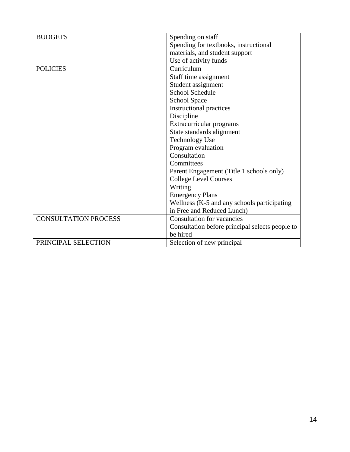| <b>BUDGETS</b>              | Spending on staff                               |
|-----------------------------|-------------------------------------------------|
|                             | Spending for textbooks, instructional           |
|                             | materials, and student support                  |
|                             | Use of activity funds                           |
| <b>POLICIES</b>             | Curriculum                                      |
|                             | Staff time assignment                           |
|                             | Student assignment                              |
|                             | <b>School Schedule</b>                          |
|                             | <b>School Space</b>                             |
|                             | Instructional practices                         |
|                             | Discipline                                      |
|                             | Extracurricular programs                        |
|                             | State standards alignment                       |
|                             | <b>Technology Use</b>                           |
|                             | Program evaluation                              |
|                             | Consultation                                    |
|                             | Committees                                      |
|                             | Parent Engagement (Title 1 schools only)        |
|                             | <b>College Level Courses</b>                    |
|                             | Writing                                         |
|                             | <b>Emergency Plans</b>                          |
|                             | Wellness (K-5 and any schools participating     |
|                             | in Free and Reduced Lunch)                      |
| <b>CONSULTATION PROCESS</b> | <b>Consultation for vacancies</b>               |
|                             | Consultation before principal selects people to |
|                             | be hired                                        |
| PRINCIPAL SELECTION         | Selection of new principal                      |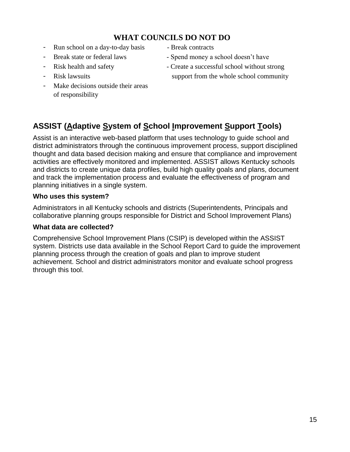# **WHAT COUNCILS DO NOT DO**

- Run school on a day-to-day basis Break contracts
- 
- 
- 
- Make decisions outside their areas of responsibility
- 
- Break state or federal laws Spend money a school doesn't have
- Risk health and safety  **Create a successful school without strong**
- Risk lawsuits support from the whole school community

# **ASSIST (Adaptive System of School Improvement Support Tools)**

Assist is an interactive web-based platform that uses technology to guide school and district administrators through the continuous improvement process, support disciplined thought and data based decision making and ensure that compliance and improvement activities are effectively monitored and implemented. ASSIST allows Kentucky schools and districts to create unique data profiles, build high quality goals and plans, document and track the implementation process and evaluate the effectiveness of program and planning initiatives in a single system.

#### **Who uses this system?**

Administrators in all Kentucky schools and districts (Superintendents, Principals and collaborative planning groups responsible for District and School Improvement Plans)

#### **What data are collected?**

Comprehensive School Improvement Plans (CSIP) is developed within the ASSIST system. Districts use data available in the School Report Card to guide the improvement planning process through the creation of goals and plan to improve student achievement. School and district administrators monitor and evaluate school progress through this tool.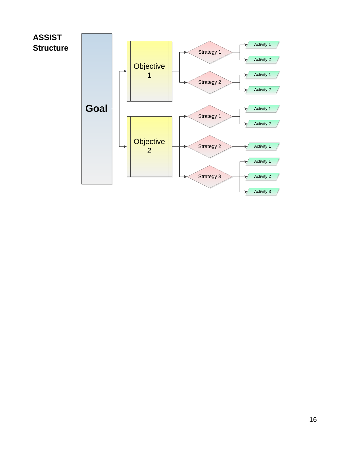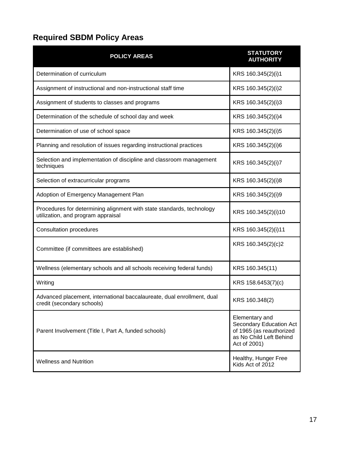# **Required SBDM Policy Areas**

| <b>POLICY AREAS</b>                                                                                         | <b>STATUTORY</b><br><b>AUTHORITY</b>                                                                             |  |
|-------------------------------------------------------------------------------------------------------------|------------------------------------------------------------------------------------------------------------------|--|
| Determination of curriculum                                                                                 | KRS 160.345(2)(i)1                                                                                               |  |
| Assignment of instructional and non-instructional staff time                                                | KRS 160.345(2)(i)2                                                                                               |  |
| Assignment of students to classes and programs                                                              | KRS 160.345(2)(i)3                                                                                               |  |
| Determination of the schedule of school day and week                                                        | KRS 160.345(2)(i)4                                                                                               |  |
| Determination of use of school space                                                                        | KRS 160.345(2)(i)5                                                                                               |  |
| Planning and resolution of issues regarding instructional practices                                         | KRS 160.345(2)(i)6                                                                                               |  |
| Selection and implementation of discipline and classroom management<br>techniques                           | KRS 160.345(2)(i)7                                                                                               |  |
| Selection of extracurricular programs                                                                       | KRS 160.345(2)(i)8                                                                                               |  |
| Adoption of Emergency Management Plan                                                                       | KRS 160.345(2)(i)9                                                                                               |  |
| Procedures for determining alignment with state standards, technology<br>utilization, and program appraisal | KRS 160.345(2)(i)10                                                                                              |  |
| <b>Consultation procedures</b>                                                                              | KRS 160.345(2)(i)11                                                                                              |  |
| Committee (if committees are established)                                                                   | KRS 160.345(2)(c)2                                                                                               |  |
| Wellness (elementary schools and all schools receiving federal funds)                                       | KRS 160.345(11)                                                                                                  |  |
| Writing                                                                                                     | KRS 158.6453(7)(c)                                                                                               |  |
| Advanced placement, international baccalaureate, dual enrollment, dual<br>credit (secondary schools)        | KRS 160.348(2)                                                                                                   |  |
| Parent Involvement (Title I, Part A, funded schools)                                                        | Elementary and<br>Secondary Education Act<br>of 1965 (as reauthorized<br>as No Child Left Behind<br>Act of 2001) |  |
| <b>Wellness and Nutrition</b>                                                                               | Healthy, Hunger Free<br>Kids Act of 2012                                                                         |  |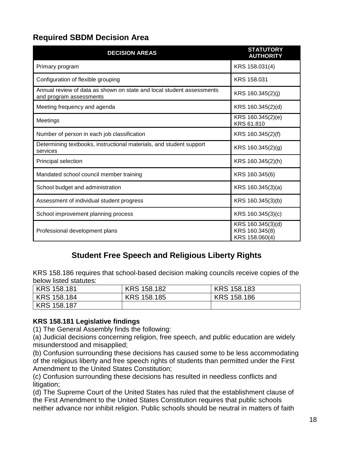# **Required SBDM Decision Area**

| <b>DECISION AREAS</b>                                                                            | <b>STATUTORY</b><br><b>AUTHORITY</b>                  |
|--------------------------------------------------------------------------------------------------|-------------------------------------------------------|
| Primary program                                                                                  | KRS 158.031(4)                                        |
| Configuration of flexible grouping                                                               | KRS 158,031                                           |
| Annual review of data as shown on state and local student assessments<br>and program assessments | KRS 160.345(2)(j)                                     |
| Meeting frequency and agenda                                                                     | KRS 160.345(2)(d)                                     |
| Meetings                                                                                         | KRS 160.345(2)(e)<br>KRS 61,810                       |
| Number of person in each job classification                                                      | KRS 160.345(2)(f)                                     |
| Determining textbooks, instructional materials, and student support<br>services                  | KRS 160.345(2)(g)                                     |
| Principal selection                                                                              | KRS 160.345(2)(h)                                     |
| Mandated school council member training                                                          | KRS 160.345(6)                                        |
| School budget and administration                                                                 | KRS 160.345(3)(a)                                     |
| Assessment of individual student progress                                                        | KRS 160.345(3)(b)                                     |
| School improvement planning process                                                              | KRS 160.345(3)(c)                                     |
| Professional development plans                                                                   | KRS 160.345(3)(d)<br>KRS 160.345(8)<br>KRS 158.060(4) |

# **Student Free Speech and Religious Liberty Rights**

KRS 158.186 requires that school-based decision making councils receive copies of the below listed statutes:

| KRS 158.181        | KRS 158.182 | KRS 158.183 |
|--------------------|-------------|-------------|
| KRS 158.184        | KRS 158.185 | KRS 158.186 |
| <b>KRS 158.187</b> |             |             |

#### **KRS 158.181 Legislative findings**

(1) The General Assembly finds the following:

(a) Judicial decisions concerning religion, free speech, and public education are widely misunderstood and misapplied;

(b) Confusion surrounding these decisions has caused some to be less accommodating of the religious liberty and free speech rights of students than permitted under the First Amendment to the United States Constitution;

(c) Confusion surrounding these decisions has resulted in needless conflicts and litigation;

(d) The Supreme Court of the United States has ruled that the establishment clause of the First Amendment to the United States Constitution requires that public schools neither advance nor inhibit religion. Public schools should be neutral in matters of faith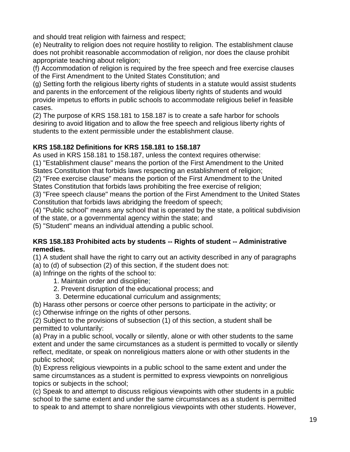and should treat religion with fairness and respect;

(e) Neutrality to religion does not require hostility to religion. The establishment clause does not prohibit reasonable accommodation of religion, nor does the clause prohibit appropriate teaching about religion;

(f) Accommodation of religion is required by the free speech and free exercise clauses of the First Amendment to the United States Constitution; and

(g) Setting forth the religious liberty rights of students in a statute would assist students and parents in the enforcement of the religious liberty rights of students and would provide impetus to efforts in public schools to accommodate religious belief in feasible cases.

(2) The purpose of KRS 158.181 to 158.187 is to create a safe harbor for schools desiring to avoid litigation and to allow the free speech and religious liberty rights of students to the extent permissible under the establishment clause.

# **KRS 158.182 Definitions for KRS 158.181 to 158.187**

As used in KRS 158.181 to 158.187, unless the context requires otherwise:

(1) "Establishment clause" means the portion of the First Amendment to the United States Constitution that forbids laws respecting an establishment of religion;

(2) "Free exercise clause" means the portion of the First Amendment to the United States Constitution that forbids laws prohibiting the free exercise of religion;

(3) "Free speech clause" means the portion of the First Amendment to the United States Constitution that forbids laws abridging the freedom of speech;

(4) "Public school" means any school that is operated by the state, a political subdivision of the state, or a governmental agency within the state; and

(5) "Student" means an individual attending a public school.

#### **KRS 158.183 Prohibited acts by students -- Rights of student -- Administrative remedies.**

(1) A student shall have the right to carry out an activity described in any of paragraphs

- (a) to (d) of subsection (2) of this section, if the student does not:
- (a) Infringe on the rights of the school to:

1. Maintain order and discipline;

- 2. Prevent disruption of the educational process; and
- 3. Determine educational curriculum and assignments;
- (b) Harass other persons or coerce other persons to participate in the activity; or
- (c) Otherwise infringe on the rights of other persons.

(2) Subject to the provisions of subsection (1) of this section, a student shall be permitted to voluntarily:

(a) Pray in a public school, vocally or silently, alone or with other students to the same extent and under the same circumstances as a student is permitted to vocally or silently reflect, meditate, or speak on nonreligious matters alone or with other students in the public school;

(b) Express religious viewpoints in a public school to the same extent and under the same circumstances as a student is permitted to express viewpoints on nonreligious topics or subjects in the school;

(c) Speak to and attempt to discuss religious viewpoints with other students in a public school to the same extent and under the same circumstances as a student is permitted to speak to and attempt to share nonreligious viewpoints with other students. However,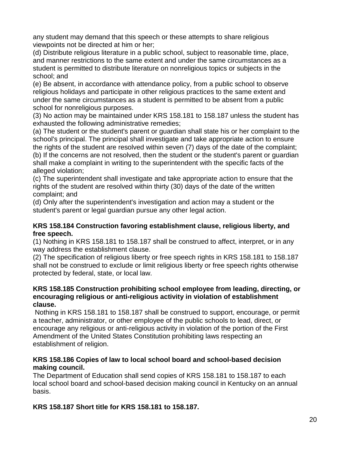any student may demand that this speech or these attempts to share religious viewpoints not be directed at him or her;

(d) Distribute religious literature in a public school, subject to reasonable time, place, and manner restrictions to the same extent and under the same circumstances as a student is permitted to distribute literature on nonreligious topics or subjects in the school; and

(e) Be absent, in accordance with attendance policy, from a public school to observe religious holidays and participate in other religious practices to the same extent and under the same circumstances as a student is permitted to be absent from a public school for nonreligious purposes.

(3) No action may be maintained under KRS 158.181 to 158.187 unless the student has exhausted the following administrative remedies;

(a) The student or the student's parent or guardian shall state his or her complaint to the school's principal. The principal shall investigate and take appropriate action to ensure the rights of the student are resolved within seven (7) days of the date of the complaint;

(b) If the concerns are not resolved, then the student or the student's parent or guardian shall make a complaint in writing to the superintendent with the specific facts of the alleged violation;

(c) The superintendent shall investigate and take appropriate action to ensure that the rights of the student are resolved within thirty (30) days of the date of the written complaint; and

(d) Only after the superintendent's investigation and action may a student or the student's parent or legal guardian pursue any other legal action.

#### **KRS 158.184 Construction favoring establishment clause, religious liberty, and free speech.**

(1) Nothing in KRS 158.181 to 158.187 shall be construed to affect, interpret, or in any way address the establishment clause.

(2) The specification of religious liberty or free speech rights in KRS 158.181 to 158.187 shall not be construed to exclude or limit religious liberty or free speech rights otherwise protected by federal, state, or local law.

#### **KRS 158.185 Construction prohibiting school employee from leading, directing, or encouraging religious or anti-religious activity in violation of establishment clause.**

Nothing in KRS 158.181 to 158.187 shall be construed to support, encourage, or permit a teacher, administrator, or other employee of the public schools to lead, direct, or encourage any religious or anti-religious activity in violation of the portion of the First Amendment of the United States Constitution prohibiting laws respecting an establishment of religion.

#### **KRS 158.186 Copies of law to local school board and school-based decision making council.**

The Department of Education shall send copies of KRS 158.181 to 158.187 to each local school board and school-based decision making council in Kentucky on an annual basis.

**KRS 158.187 Short title for KRS 158.181 to 158.187.**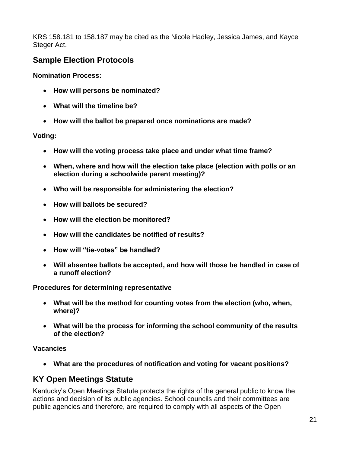KRS 158.181 to 158.187 may be cited as the Nicole Hadley, Jessica James, and Kayce Steger Act.

# **Sample Election Protocols**

**Nomination Process:**

- **How will persons be nominated?**
- **What will the timeline be?**
- **How will the ballot be prepared once nominations are made?**

#### **Voting:**

- **How will the voting process take place and under what time frame?**
- **When, where and how will the election take place (election with polls or an election during a schoolwide parent meeting)?**
- **Who will be responsible for administering the election?**
- **How will ballots be secured?**
- **How will the election be monitored?**
- **How will the candidates be notified of results?**
- **How will "tie-votes" be handled?**
- **Will absentee ballots be accepted, and how will those be handled in case of a runoff election?**

#### **Procedures for determining representative**

- **What will be the method for counting votes from the election (who, when, where)?**
- **What will be the process for informing the school community of the results of the election?**

#### **Vacancies**

**What are the procedures of notification and voting for vacant positions?**

# **KY Open Meetings Statute**

Kentucky's Open Meetings Statute protects the rights of the general public to know the actions and decision of its public agencies. School councils and their committees are public agencies and therefore, are required to comply with all aspects of the Open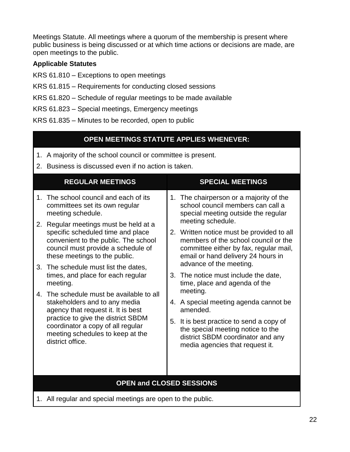Meetings Statute. All meetings where a quorum of the membership is present where public business is being discussed or at which time actions or decisions are made, are open meetings to the public.

#### **Applicable Statutes**

- KRS 61.810 Exceptions to open meetings
- KRS 61.815 Requirements for conducting closed sessions
- KRS 61.820 Schedule of regular meetings to be made available
- KRS 61.823 Special meetings, Emergency meetings
- KRS 61.835 Minutes to be recorded, open to public

# **OPEN MEETINGS STATUTE APPLIES WHENEVER:**

- 1. A majority of the school council or committee is present.
- 2. Business is discussed even if no action is taken.

|                                                                                                                                 | <b>REGULAR MEETINGS</b>                                                                                                                                                                                                                                                                                                                                                                                                                                                                   |                                                                                                                                                       | <b>SPECIAL MEETINGS</b>                                                                                                                                                                                                                                                                                                                                                                                                                                                            |  |  |
|---------------------------------------------------------------------------------------------------------------------------------|-------------------------------------------------------------------------------------------------------------------------------------------------------------------------------------------------------------------------------------------------------------------------------------------------------------------------------------------------------------------------------------------------------------------------------------------------------------------------------------------|-------------------------------------------------------------------------------------------------------------------------------------------------------|------------------------------------------------------------------------------------------------------------------------------------------------------------------------------------------------------------------------------------------------------------------------------------------------------------------------------------------------------------------------------------------------------------------------------------------------------------------------------------|--|--|
| 1.<br>2.<br>3.<br>$4_{-}$                                                                                                       | The school council and each of its<br>committees set its own regular<br>meeting schedule.<br>Regular meetings must be held at a<br>specific scheduled time and place<br>convenient to the public. The school<br>council must provide a schedule of<br>these meetings to the public.<br>The schedule must list the dates,<br>times, and place for each regular<br>meeting.<br>The schedule must be available to all<br>stakeholders and to any media<br>agency that request it. It is best |                                                                                                                                                       | 1. The chairperson or a majority of the<br>school council members can call a<br>special meeting outside the regular<br>meeting schedule.<br>2. Written notice must be provided to all<br>members of the school council or the<br>committee either by fax, regular mail,<br>email or hand delivery 24 hours in<br>advance of the meeting.<br>3. The notice must include the date,<br>time, place and agenda of the<br>meeting.<br>4. A special meeting agenda cannot be<br>amended. |  |  |
| practice to give the district SBDM<br>coordinator a copy of all regular<br>meeting schedules to keep at the<br>district office. |                                                                                                                                                                                                                                                                                                                                                                                                                                                                                           | 5. It is best practice to send a copy of<br>the special meeting notice to the<br>district SBDM coordinator and any<br>media agencies that request it. |                                                                                                                                                                                                                                                                                                                                                                                                                                                                                    |  |  |
| <b>OPEN and CLOSED SESSIONS</b>                                                                                                 |                                                                                                                                                                                                                                                                                                                                                                                                                                                                                           |                                                                                                                                                       |                                                                                                                                                                                                                                                                                                                                                                                                                                                                                    |  |  |

1. All regular and special meetings are open to the public.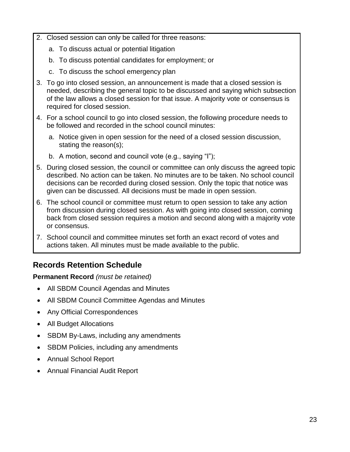- 2. Closed session can only be called for three reasons:
	- a. To discuss actual or potential litigation
	- b. To discuss potential candidates for employment; or
	- c. To discuss the school emergency plan
- 3. To go into closed session, an announcement is made that a closed session is needed, describing the general topic to be discussed and saying which subsection of the law allows a closed session for that issue. A majority vote or consensus is required for closed session.
- 4. For a school council to go into closed session, the following procedure needs to be followed and recorded in the school council minutes:
	- a. Notice given in open session for the need of a closed session discussion, stating the reason(s);
	- b. A motion, second and council vote (e.g., saying "I");
- 5. During closed session, the council or committee can only discuss the agreed topic described. No action can be taken. No minutes are to be taken. No school council decisions can be recorded during closed session. Only the topic that notice was given can be discussed. All decisions must be made in open session.
- 6. The school council or committee must return to open session to take any action from discussion during closed session. As with going into closed session, coming back from closed session requires a motion and second along with a majority vote or consensus.
- 7. School council and committee minutes set forth an exact record of votes and actions taken. All minutes must be made available to the public.

# **Records Retention Schedule**

#### **Permanent Record** *(must be retained)*

- All SBDM Council Agendas and Minutes
- All SBDM Council Committee Agendas and Minutes
- Any Official Correspondences
- All Budget Allocations
- SBDM By-Laws, including any amendments
- SBDM Policies, including any amendments
- Annual School Report
- Annual Financial Audit Report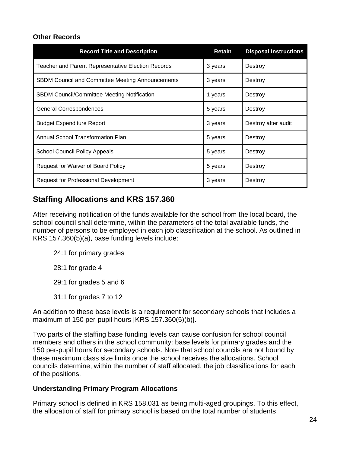#### **Other Records**

| <b>Record Title and Description</b>                       | Retain  | <b>Disposal Instructions</b> |
|-----------------------------------------------------------|---------|------------------------------|
| <b>Teacher and Parent Representative Election Records</b> | 3 years | Destroy                      |
| <b>SBDM Council and Committee Meeting Announcements</b>   | 3 years | Destroy                      |
| SBDM Council/Committee Meeting Notification               | 1 years | Destroy                      |
| <b>General Correspondences</b>                            | 5 years | Destroy                      |
| <b>Budget Expenditure Report</b>                          | 3 years | Destroy after audit          |
| Annual School Transformation Plan                         | 5 years | Destroy                      |
| <b>School Council Policy Appeals</b>                      | 5 years | Destroy                      |
| Request for Waiver of Board Policy                        | 5 years | Destroy                      |
| Request for Professional Development                      | 3 years | Destroy                      |

# **Staffing Allocations and KRS 157.360**

After receiving notification of the funds available for the school from the local board, the school council shall determine, within the parameters of the total available funds, the number of persons to be employed in each job classification at the school. As outlined in KRS 157.360(5)(a), base funding levels include:

- 24:1 for primary grades
- 28:1 for grade 4
- 29:1 for grades 5 and 6
- 31:1 for grades 7 to 12

An addition to these base levels is a requirement for secondary schools that includes a maximum of 150 per-pupil hours [KRS 157.360(5)(b)].

Two parts of the staffing base funding levels can cause confusion for school council members and others in the school community: base levels for primary grades and the 150 per-pupil hours for secondary schools. Note that school councils are not bound by these maximum class size limits once the school receives the allocations. School councils determine, within the number of staff allocated, the job classifications for each of the positions.

#### **Understanding Primary Program Allocations**

Primary school is defined in KRS 158.031 as being multi-aged groupings. To this effect, the allocation of staff for primary school is based on the total number of students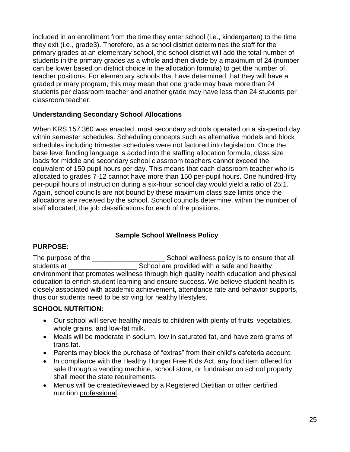included in an enrollment from the time they enter school (i.e., kindergarten) to the time they exit (i.e., grade3). Therefore, as a school district determines the staff for the primary grades at an elementary school, the school district will add the total number of students in the primary grades as a whole and then divide by a maximum of 24 (number can be lower based on district choice in the allocation formula) to get the number of teacher positions. For elementary schools that have determined that they will have a graded primary program, this may mean that one grade may have more than 24 students per classroom teacher and another grade may have less than 24 students per classroom teacher.

#### **Understanding Secondary School Allocations**

When KRS 157.360 was enacted, most secondary schools operated on a six-period day within semester schedules. Scheduling concepts such as alternative models and block schedules including trimester schedules were not factored into legislation. Once the base level funding language is added into the staffing allocation formula, class size loads for middle and secondary school classroom teachers cannot exceed the equivalent of 150 pupil hours per day. This means that each classroom teacher who is allocated to grades 7-12 cannot have more than 150 per-pupil hours. One hundred-fifty per-pupil hours of instruction during a six-hour school day would yield a ratio of 25:1. Again, school councils are not bound by these maximum class size limits once the allocations are received by the school. School councils determine, within the number of staff allocated, the job classifications for each of the positions.

#### **Sample School Wellness Policy**

#### **PURPOSE:**

The purpose of the **The purpose** of the **School wellness policy is to ensure that all** students at \_\_\_\_\_\_\_\_\_\_\_\_\_\_\_\_\_\_ School are provided with a safe and healthy environment that promotes wellness through high quality health education and physical education to enrich student learning and ensure success. We believe student health is closely associated with academic achievement, attendance rate and behavior supports, thus our students need to be striving for healthy lifestyles.

#### **SCHOOL NUTRITION:**

- Our school will serve healthy meals to children with plenty of fruits, vegetables, whole grains, and low-fat milk.
- Meals will be moderate in sodium, low in saturated fat, and have zero grams of trans fat.
- Parents may block the purchase of "extras" from their child's cafeteria account.
- In compliance with the Healthy Hunger Free Kids Act, any food item offered for sale through a vending machine, school store, or fundraiser on school property shall meet the state requirements.
- Menus will be created/reviewed by a Registered Dietitian or other certified nutrition professional.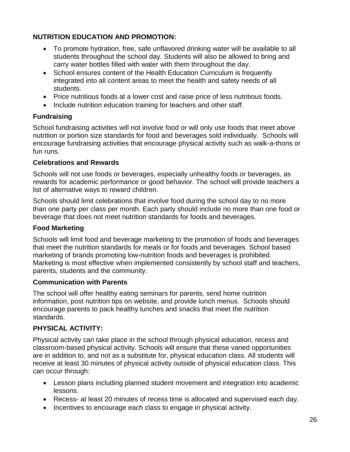## **NUTRITION EDUCATION AND PROMOTION:**

- To promote hydration, free, safe unflavored drinking water will be available to all students throughout the school day. Students will also be allowed to bring and carry water bottles filled with water with them throughout the day.
- School ensures content of the Health Education Curriculum is frequently integrated into all content areas to meet the health and safety needs of all students.
- Price nutritious foods at a lower cost and raise price of less nutritious foods.
- Include nutrition education training for teachers and other staff.

#### **Fundraising**

School fundraising activities will not involve food or will only use foods that meet above nutrition or portion size standards for food and beverages sold individually. Schools will encourage fundraising activities that encourage physical activity such as walk-a-thons or fun runs.

#### **Celebrations and Rewards**

Schools will not use foods or beverages, especially unhealthy foods or beverages, as rewards for academic performance or good behavior. The school will provide teachers a list of alternative ways to reward children.

Schools should limit celebrations that involve food during the school day to no more than one party per class per month. Each party should include no more than one food or beverage that does not meet nutrition standards for foods and beverages.

#### **Food Marketing**

Schools will limit food and beverage marketing to the promotion of foods and beverages that meet the nutrition standards for meals or for foods and beverages. School based marketing of brands promoting low-nutrition foods and beverages is prohibited. Marketing is most effective when implemented consistently by school staff and teachers, parents, students and the community.

#### **Communication with Parents**

The school will offer healthy eating seminars for parents, send home nutrition information, post nutrition tips on website, and provide lunch menus. Schools should encourage parents to pack healthy lunches and snacks that meet the nutrition standards.

#### **PHYSICAL ACTIVITY:**

Physical activity can take place in the school through physical education, recess and classroom-based physical activity. Schools will ensure that these varied opportunities are in addition to, and not as a substitute for, physical education class. All students will receive at least 30 minutes of physical activity outside of physical education class. This can occur through:

- Lesson plans including planned student movement and integration into academic lessons.
- Recess- at least 20 minutes of recess time is allocated and supervised each day.
- Incentives to encourage each class to engage in physical activity.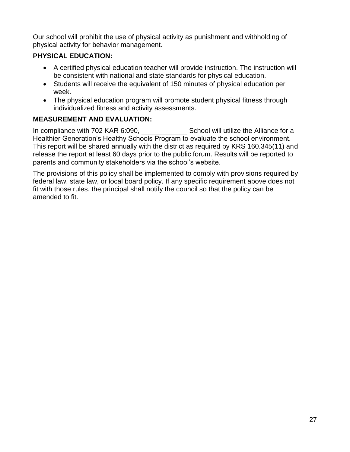Our school will prohibit the use of physical activity as punishment and withholding of physical activity for behavior management.

# **PHYSICAL EDUCATION:**

- A certified physical education teacher will provide instruction. The instruction will be consistent with national and state standards for physical education.
- Students will receive the equivalent of 150 minutes of physical education per week.
- The physical education program will promote student physical fitness through individualized fitness and activity assessments.

# **MEASUREMENT AND EVALUATION:**

In compliance with 702 KAR 6:090, School will utilize the Alliance for a Healthier Generation's Healthy Schools Program to evaluate the school environment. This report will be shared annually with the district as required by KRS 160.345(11) and release the report at least 60 days prior to the public forum. Results will be reported to parents and community stakeholders via the school's website.

The provisions of this policy shall be implemented to comply with provisions required by federal law, state law, or local board policy. If any specific requirement above does not fit with those rules, the principal shall notify the council so that the policy can be amended to fit.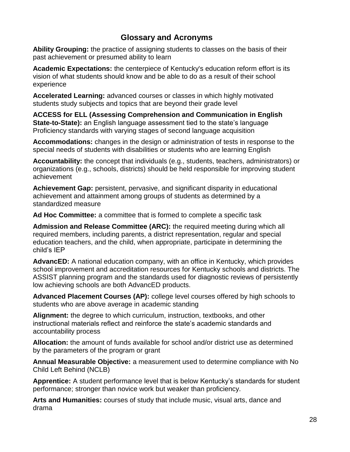# **Glossary and Acronyms**

**Ability Grouping:** the practice of assigning students to classes on the basis of their past achievement or presumed ability to learn

**Academic Expectations:** the centerpiece of Kentucky's education reform effort is its vision of what students should know and be able to do as a result of their school experience

**Accelerated Learning:** advanced courses or classes in which highly motivated students study subjects and topics that are beyond their grade level

**ACCESS for ELL (Assessing Comprehension and Communication in English State-to-State):** an English language assessment tied to the state's language Proficiency standards with varying stages of second language acquisition

**Accommodations:** changes in the design or administration of tests in response to the special needs of students with disabilities or students who are learning English

**Accountability:** the concept that individuals (e.g., students, teachers, administrators) or organizations (e.g., schools, districts) should be held responsible for improving student achievement

**Achievement Gap:** persistent, pervasive, and significant disparity in educational achievement and attainment among groups of students as determined by a standardized measure

**Ad Hoc Committee:** a committee that is formed to complete a specific task

**Admission and Release Committee (ARC):** the required meeting during which all required members, including parents, a district representation, regular and special education teachers, and the child, when appropriate, participate in determining the child's IEP

**AdvancED:** A national education company, with an office in Kentucky, which provides school improvement and accreditation resources for Kentucky schools and districts. The ASSIST planning program and the standards used for diagnostic reviews of persistently low achieving schools are both AdvancED products.

**Advanced Placement Courses (AP):** college level courses offered by high schools to students who are above average in academic standing

**Alignment:** the degree to which curriculum, instruction, textbooks, and other instructional materials reflect and reinforce the state's academic standards and accountability process

**Allocation:** the amount of funds available for school and/or district use as determined by the parameters of the program or grant

**Annual Measurable Objective:** a measurement used to determine compliance with No Child Left Behind (NCLB)

**Apprentice:** A student performance level that is below Kentucky's standards for student performance; stronger than novice work but weaker than proficiency.

**Arts and Humanities:** courses of study that include music, visual arts, dance and drama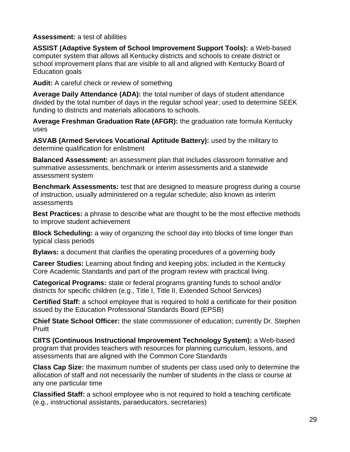**Assessment:** a test of abilities

**ASSIST (Adaptive System of School Improvement Support Tools):** a Web-based computer system that allows all Kentucky districts and schools to create district or school improvement plans that are visible to all and aligned with Kentucky Board of Education goals

**Audit:** A careful check or review of something

**Average Daily Attendance (ADA):** the total number of days of student attendance divided by the total number of days in the regular school year; used to determine SEEK funding to districts and materials allocations to schools.

**Average Freshman Graduation Rate (AFGR):** the graduation rate formula Kentucky uses

**ASVAB (Armed Services Vocational Aptitude Battery):** used by the military to determine qualification for enlistment

**Balanced Assessment:** an assessment plan that includes classroom formative and summative assessments, benchmark or interim assessments and a statewide assessment system

**Benchmark Assessments:** test that are designed to measure progress during a course of instruction, usually administered on a regular schedule; also known as interim assessments

**Best Practices:** a phrase to describe what are thought to be the most effective methods to improve student achievement

**Block Scheduling:** a way of organizing the school day into blocks of time longer than typical class periods

**Bylaws:** a document that clarifies the operating procedures of a governing body

**Career Studies:** Learning about finding and keeping jobs; included in the Kentucky Core Academic Standards and part of the program review with practical living.

**Categorical Programs:** state or federal programs granting funds to school and/or districts for specific children (e.g., Title I, Title II, Extended School Services)

**Certified Staff:** a school employee that is required to hold a certificate for their position issued by the Education Professional Standards Board (EPSB)

**Chief State School Officer:** the state commissioner of education; currently Dr. Stephen Pruitt

**CIITS (Continuous Instructional Improvement Technology System):** a Web-based program that provides teachers with resources for planning curriculum, lessons, and assessments that are aligned with the Common Core Standards

**Class Cap Size:** the maximum number of students per class used only to determine the allocation of staff and not necessarily the number of students in the class or course at any one particular time

**Classified Staff:** a school employee who is not required to hold a teaching certificate (e.g., instructional assistants, paraeducators, secretaries)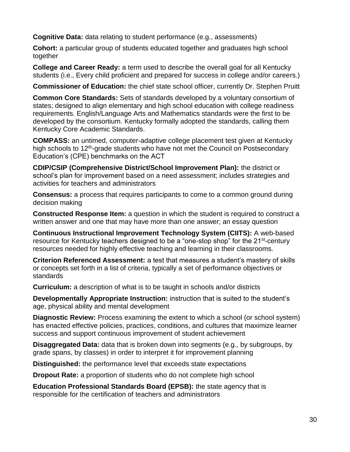**Cognitive Data:** data relating to student performance (e.g., assessments)

**Cohort:** a particular group of students educated together and graduates high school together

**College and Career Ready:** a term used to describe the overall goal for all Kentucky students (i.e., Every child proficient and prepared for success in college and/or careers.)

**Commissioner of Education:** the chief state school officer, currently Dr. Stephen Pruitt

**Common Core Standards:** Sets of standards developed by a voluntary consortium of states; designed to align elementary and high school education with college readiness requirements. English/Language Arts and Mathematics standards were the first to be developed by the consortium. Kentucky formally adopted the standards, calling them Kentucky Core Academic Standards.

**COMPASS:** an untimed, computer-adaptive college placement test given at Kentucky high schools to 12<sup>th</sup>-grade students who have not met the Council on Postsecondary Education's (CPE) benchmarks on the ACT

**CDIP/CSIP (Comprehensive District/School Improvement Plan):** the district or school's plan for improvement based on a need assessment; includes strategies and activities for teachers and administrators

**Consensus:** a process that requires participants to come to a common ground during decision making

**Constructed Response Item:** a question in which the student is required to construct a written answer and one that may have more than one answer; an essay question

**Continuous Instructional Improvement Technology System (CIITS):** A web-based resource for Kentucky teachers designed to be a "one-stop shop" for the 21<sup>st</sup>-century resources needed for highly effective teaching and learning in their classrooms.

**Criterion Referenced Assessment:** a test that measures a student's mastery of skills or concepts set forth in a list of criteria, typically a set of performance objectives or standards

**Curriculum:** a description of what is to be taught in schools and/or districts

**Developmentally Appropriate Instruction:** instruction that is suited to the student's age, physical ability and mental development

**Diagnostic Review:** Process examining the extent to which a school (or school system) has enacted effective policies, practices, conditions, and cultures that maximize learner success and support continuous improvement of student achievement

**Disaggregated Data:** data that is broken down into segments (e.g., by subgroups, by grade spans, by classes) in order to interpret it for improvement planning

**Distinguished:** the performance level that exceeds state expectations

**Dropout Rate:** a proportion of students who do not complete high school

**Education Professional Standards Board (EPSB):** the state agency that is responsible for the certification of teachers and administrators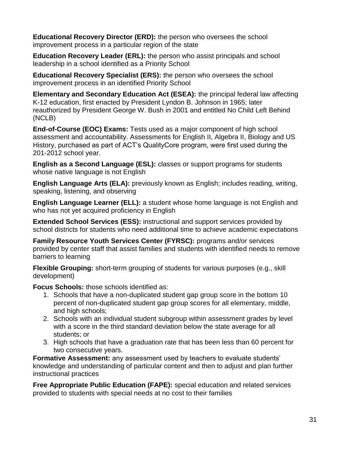**Educational Recovery Director (ERD):** the person who oversees the school improvement process in a particular region of the state

**Education Recovery Leader (ERL):** the person who assist principals and school leadership in a school identified as a Priority School

**Educational Recovery Specialist (ERS):** the person who oversees the school improvement process in an identified Priority School

**Elementary and Secondary Education Act (ESEA):** the principal federal law affecting K-12 education, first enacted by President Lyndon B. Johnson in 1965; later reauthorized by President George W. Bush in 2001 and entitled No Child Left Behind (NCLB)

**End-of-Course (EOC) Exams:** Tests used as a major component of high school assessment and accountability. Assessments for English II, Algebra II, Biology and US History, purchased as part of ACT's QualityCore program, were first used during the 201-2012 school year.

**English as a Second Language (ESL):** classes or support programs for students whose native language is not English

**English Language Arts (ELA):** previously known as English; includes reading, writing, speaking, listening, and observing

**English Language Learner (ELL):** a student whose home language is not English and who has not yet acquired proficiency in English

**Extended School Services (ESS):** instructional and support services provided by school districts for students who need additional time to achieve academic expectations

**Family Resource Youth Services Center (FYRSC):** programs and/or services provided by center staff that assist families and students with identified needs to remove barriers to learning

**Flexible Grouping:** short-term grouping of students for various purposes (e.g., skill development)

**Focus Schools:** those schools identified as:

- 1. Schools that have a non-duplicated student gap group score in the bottom 10 percent of non-duplicated student gap group scores for all elementary, middle, and high schools;
- 2. Schools with an individual student subgroup within assessment grades by level with a score in the third standard deviation below the state average for all students; or
- 3. High schools that have a graduation rate that has been less than 60 percent for two consecutive years.

**Formative Assessment:** any assessment used by teachers to evaluate students' knowledge and understanding of particular content and then to adjust and plan further instructional practices

**Free Appropriate Public Education (FAPE):** special education and related services provided to students with special needs at no cost to their families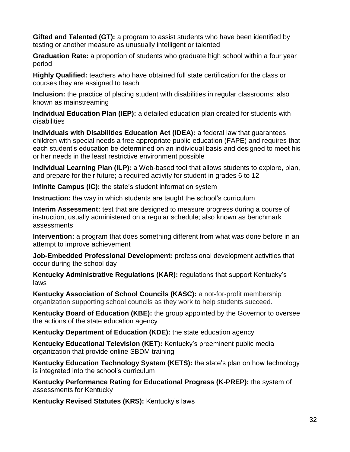**Gifted and Talented (GT):** a program to assist students who have been identified by testing or another measure as unusually intelligent or talented

**Graduation Rate:** a proportion of students who graduate high school within a four year period

**Highly Qualified:** teachers who have obtained full state certification for the class or courses they are assigned to teach

**Inclusion:** the practice of placing student with disabilities in regular classrooms; also known as mainstreaming

**Individual Education Plan (IEP):** a detailed education plan created for students with disabilities

**Individuals with Disabilities Education Act (IDEA):** a federal law that guarantees children with special needs a free appropriate public education (FAPE) and requires that each student's education be determined on an individual basis and designed to meet his or her needs in the least restrictive environment possible

**Individual Learning Plan (ILP):** a Web-based tool that allows students to explore, plan, and prepare for their future; a required activity for student in grades 6 to 12

**Infinite Campus (IC):** the state's student information system

**Instruction:** the way in which students are taught the school's curriculum

**Interim Assessment:** test that are designed to measure progress during a course of instruction, usually administered on a regular schedule; also known as benchmark assessments

**Intervention:** a program that does something different from what was done before in an attempt to improve achievement

**Job-Embedded Professional Development:** professional development activities that occur during the school day

**Kentucky Administrative Regulations (KAR):** regulations that support Kentucky's laws

**Kentucky Association of School Councils (KASC):** a not-for-profit membership organization supporting school councils as they work to help students succeed.

**Kentucky Board of Education (KBE):** the group appointed by the Governor to oversee the actions of the state education agency

**Kentucky Department of Education (KDE):** the state education agency

**Kentucky Educational Television (KET):** Kentucky's preeminent public media organization that provide online SBDM training

**Kentucky Education Technology System (KETS):** the state's plan on how technology is integrated into the school's curriculum

**Kentucky Performance Rating for Educational Progress (K-PREP):** the system of assessments for Kentucky

**Kentucky Revised Statutes (KRS):** Kentucky's laws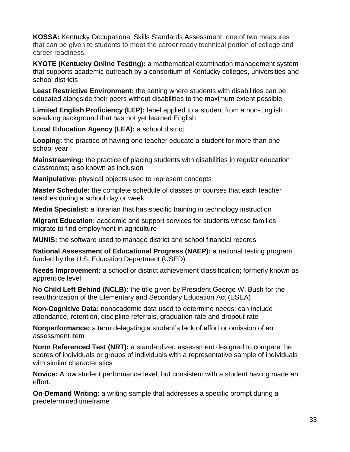**KOSSA:** Kentucky Occupational Skills Standards Assessment: one of two measures that can be given to students to meet the career ready technical portion of college and career readiness.

**KYOTE (Kentucky Online Testing):** a mathematical examination management system that supports academic outreach by a consortium of Kentucky colleges, universities and school districts

**Least Restrictive Environment:** the setting where students with disabilities can be educated alongside their peers without disabilities to the maximum extent possible

**Limited English Proficiency (LEP):** label applied to a student from a non-English speaking background that has not yet learned English

**Local Education Agency (LEA):** a school district

**Looping:** the practice of having one teacher educate a student for more than one school year

**Mainstreaming:** the practice of placing students with disabilities in regular education classrooms; also known as inclusion

**Manipulative:** physical objects used to represent concepts

**Master Schedule:** the complete schedule of classes or courses that each teacher teaches during a school day or week

**Media Specialist:** a librarian that has specific training in technology instruction

**Migrant Education:** academic and support services for students whose families migrate to find employment in agriculture

**MUNIS:** the software used to manage district and school financial records

**National Assessment of Educational Progress (NAEP):** a national testing program funded by the U.S. Education Department (USED)

**Needs Improvement:** a school or district achievement classification; formerly known as apprentice level

**No Child Left Behind (NCLB):** the title given by President George W. Bush for the reauthorization of the Elementary and Secondary Education Act (ESEA)

**Non-Cognitive Data:** nonacademic data used to determine needs; can include attendance, retention, discipline referrals, graduation rate and dropout rate

**Nonperformance:** a term delegating a student's lack of effort or omission of an assessment item

**Norm Referenced Test (NRT):** a standardized assessment designed to compare the scores of individuals or groups of individuals with a representative sample of individuals with similar characteristics

**Novice:** A low student performance level, but consistent with a student having made an effort.

**On-Demand Writing:** a writing sample that addresses a specific prompt during a predetermined timeframe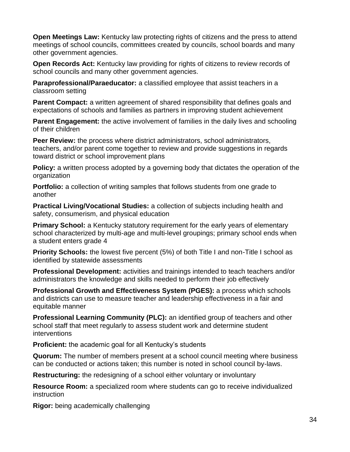**Open Meetings Law:** Kentucky law protecting rights of citizens and the press to attend meetings of school councils, committees created by councils, school boards and many other government agencies.

**Open Records Act:** Kentucky law providing for rights of citizens to review records of school councils and many other government agencies.

**Paraprofessional/Paraeducator:** a classified employee that assist teachers in a classroom setting

**Parent Compact:** a written agreement of shared responsibility that defines goals and expectations of schools and families as partners in improving student achievement

**Parent Engagement:** the active involvement of families in the daily lives and schooling of their children

**Peer Review:** the process where district administrators, school administrators, teachers, and/or parent come together to review and provide suggestions in regards toward district or school improvement plans

**Policy:** a written process adopted by a governing body that dictates the operation of the organization

**Portfolio:** a collection of writing samples that follows students from one grade to another

**Practical Living/Vocational Studies:** a collection of subjects including health and safety, consumerism, and physical education

**Primary School:** a Kentucky statutory requirement for the early years of elementary school characterized by multi-age and multi-level groupings; primary school ends when a student enters grade 4

**Priority Schools:** the lowest five percent (5%) of both Title I and non-Title I school as identified by statewide assessments

**Professional Development:** activities and trainings intended to teach teachers and/or administrators the knowledge and skills needed to perform their job effectively

**Professional Growth and Effectiveness System (PGES):** a process which schools and districts can use to measure teacher and leadership effectiveness in a fair and equitable manner

**Professional Learning Community (PLC):** an identified group of teachers and other school staff that meet regularly to assess student work and determine student interventions

**Proficient:** the academic goal for all Kentucky's students

**Quorum:** The number of members present at a school council meeting where business can be conducted or actions taken; this number is noted in school council by-laws.

**Restructuring:** the redesigning of a school either voluntary or involuntary

**Resource Room:** a specialized room where students can go to receive individualized instruction

**Rigor:** being academically challenging